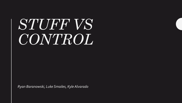# *STUFF VS CONTROL*

*Ryan Baranowski, Luke Smailes, Kyle Alvarado*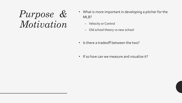## *Purpose & Motivation*

- What is more important in developing a pitcher for the MLB?
	- Velocity or Control
	- Old school theory vs new school
- Is there a tradeoff between the two?
- If so how can we measure and visualize it?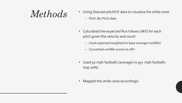- $Methods$ <sup>•</sup> Using Statcast pitchF/X data to visualize the strike zone – Pitch-By-Pitch data
	- Calculated the expected Run Values (xRV) for each pitch given the velocity and count
		- Used expected weighted on base average (xwOBA)
		- Converted xwOBA scores to xRV
	- Used 92 mph fastballs (average) vs 95+ mph fastballs (top 20%)
	- Mapped the strike zone accordingly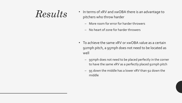- **Results** In terms of xRV and xwOBA there is an advantage to pitchers who throw harder
	- More room for error for harder throwers
	- No heart of zone for harder throwers
	- To achieve the same xRV or xwOBA value as a certain 92mph pitch, a 95mph does not need to be located as well
		- 95mph does not need to be placed perfectly in the corner to have the same xRV as a perfectly placed 92mph pitch
		- 95 down the middle has a lower xRV than 92 down the middle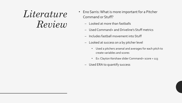## *Literature Review*

- Eno Sarris: What is more important for a Pitcher Command or Stuff?
	- Looked at more than fastballs
	- Used Command+ and Driveline's Stuff metrics
	- Includes fastball movement into Stuff
	- Looked at success on a by pitcher level
		- Used a pitchers arsenal and averages for each pitch to create variables and scores
		- Ex: Clayton Kershaw slider Command+ score = 113
	- Used ERA to quantify success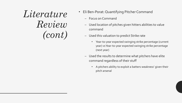*Literature Review (cont)* 

- Eli Ben-Porat: Quantifying Pitcher Command
	- Focus on Command
	- Used location of pitches given hitters abilities to value command
	- Used this valuation to predict Strike rate
		- Year-to-year expected swinging strike percentage (current year) vs Year-to-year expected swinging strike percentage (next year)
	- Used the results to determine what pitchers have elite command regardless of their stuff
		- A pitchers ability to exploit a batters weakness' given their pitch arsenal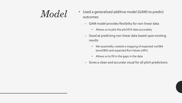- $Model$   $\bullet$  Used a generalized additive model (GAM) to predict outcomes
	- GAM model provides flexibility for non-linear data
		- Allows us to plot the pitchF/X data accurately
	- Good at predicting non-linear data based upon existing results
		- We essentially created a mapping of expected xwOBA (exwOBA) and expected Run Values (xRV)
		- Allows us to fill in the gaps in the data
	- Gives a clean and accurate visual for all pitch predictions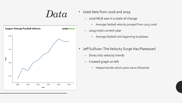

- $Data\ ^{\bullet }$  Used data from 2016 and 2019
	- 2016 MLB was in a state of change
		- Average fastball velocity jumped from 2015-2016
	- 2019 most current year
		- Average fastball velo beginning to plateau
	- Jeff Sullivan: The Velocity Surge Has Plateaued
		- Dives into velocity trends
		- Created graph on left
			- Helped decide which years were influential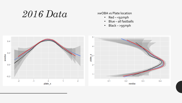## *2016 Data*

### xwOBA vs Plate location

- Red <92mph
- Blue all fastballs
- Black >95mph

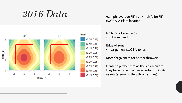## $2016$   $Data$ <sub>92</sub> mph (average FB) vs 97 mph (elite FB)

xwOBA vs Plate location



### No heart of zone in 97

No deep red

### Edge of zone

• Larger low xwOBA zones

### More forgiveness for harder throwers

Harder a pitcher throws the less accurate they have to be to achieve certain xwOBA values (assuming they throw strikes)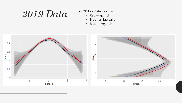## $2019$   $Data$   $\frac{2019}{100}$   $\frac{201}{100}$   $\frac{1}{100}$   $\frac{1}{100}$   $\frac{1}{100}$   $\frac{1}{100}$   $\frac{1}{100}$   $\frac{1}{100}$   $\frac{1}{100}$   $\frac{1}{100}$   $\frac{1}{100}$   $\frac{1}{100}$   $\frac{1}{100}$   $\frac{1}{100}$   $\frac{1}{100}$   $\frac{1}{100}$   $\frac{1}{100}$

- Red <92mph
- Blue all fastballs
- Black >95mph

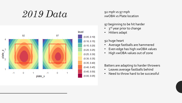## $2019$   $Data$ <sup>92 mph vs 97 mph</sub></sup>



xwOBA vs Plate location

### 97 beginning to be hit harder

- 3<sup>rd</sup> year prior to change
- Hitters adapt
- 92 huge heart
- Average fastballs are hammered
- Even edge has high xwOBA values
- High xwOBA values out of zone

### Batters are adapting to harder throwers

- Leaves average fastballs behind
- Need to throw hard to be successful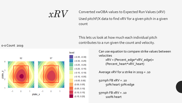$xRV$  Converted xwOBA values to Expected Run Values (xRV) Used pitchF/X data to find xRV for a given pitch in a given count

> This lets us look at how much each individual pitch contributes to a run given the count and velocity.

> > Can use equation to compare strike values between velocities

> > > xRV = (Percent\_edge\*xRV\_edge)+ (Percent\_heart\*xRV\_heart)

Average xRV for a strike in 2019 = .10

92mph FB  $xRV = .10$ 50% heart 50% edge

97mph FB  $xRV = .10$ 100% heart



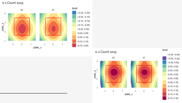0-1 Count 2019





l ev

(-0.06, -0.04) (-0.04, -0.02)  $(-0.02, 0.00]$  $(0.00, 0.02]$ (0.02, 0.04) (0.04, 0.0 (0.06, 0.08) (0.08, 0.10)  $(0.10, 0.1)$  $(0.12, 0.14]$ ( 0.1 4, 0.1 6]  $(0.16, 0.18]$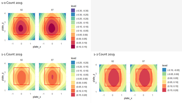1-0 Count 2019



1-1 Count 2019







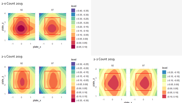2-0 Count 2019



2-1 Count 2019







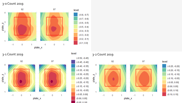3-0 Count 2019



3-1 Count 2019 level